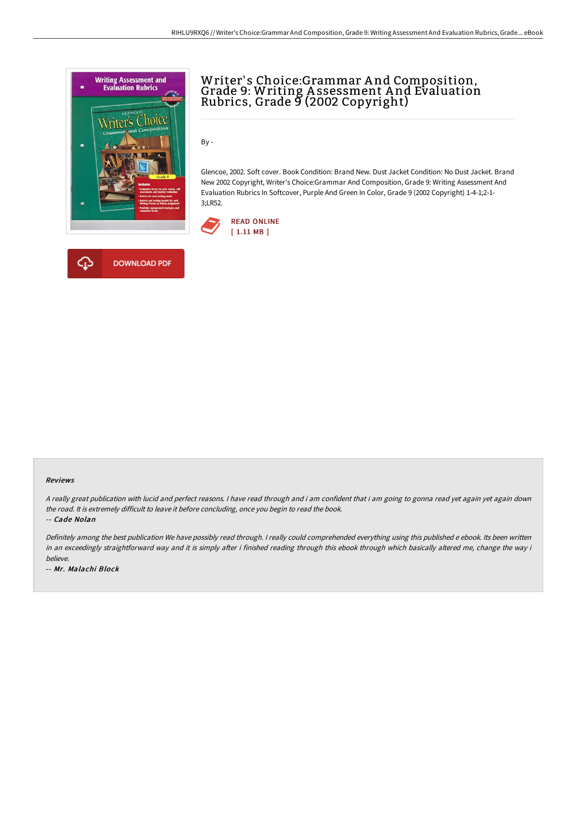

**DOWNLOAD PDF** 



By -

Glencoe, 2002. Soft cover. Book Condition: Brand New. Dust Jacket Condition: No Dust Jacket. Brand New 2002 Copyright, Writer's Choice:Grammar And Composition, Grade 9: Writing Assessment And Evaluation Rubrics In Softcover, Purple And Green In Color, Grade 9 (2002 Copyright) 1-4-1;2-1- 3;LR52.



#### Reviews

<sup>A</sup> really great publication with lucid and perfect reasons. <sup>I</sup> have read through and i am confident that i am going to gonna read yet again yet again down the road. It is extremely difficult to leave it before concluding, once you begin to read the book.

-- Cade Nolan

Definitely among the best publication We have possibly read through. <sup>I</sup> really could comprehended everything using this published <sup>e</sup> ebook. Its been written in an exceedingly straightforward way and it is simply after i finished reading through this ebook through which basically altered me, change the way i believe.

-- Mr. Malachi Block